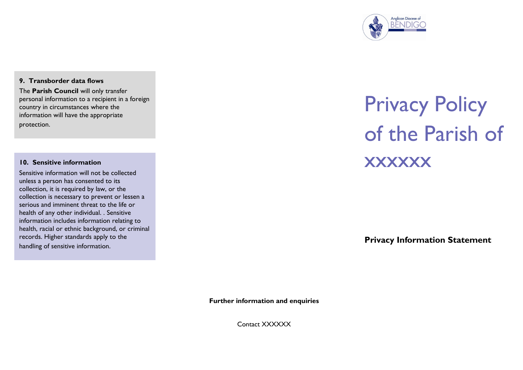

#### **9. Transborder data flows**

The **Parish Council** will only transfer personal information to a recipient in a foreign country in circumstances where the information will have the appropriate protection.

#### **10. Sensitive information**

Sensitive information will not be collected unless a person has consented to its collection, it is required by law, or the collection is necessary to prevent or lessen a serious and imminent threat to the life or health of any other individual. . Sensitive information includes information relating to health, racial or ethnic background, or criminal records. Higher standards apply to the handling of sensitive information.

# Privacy Policy of the Parish of **xxxxxx**

**Privacy Information Statement** 

**Further information and enquiries**

Contact XXXXXX